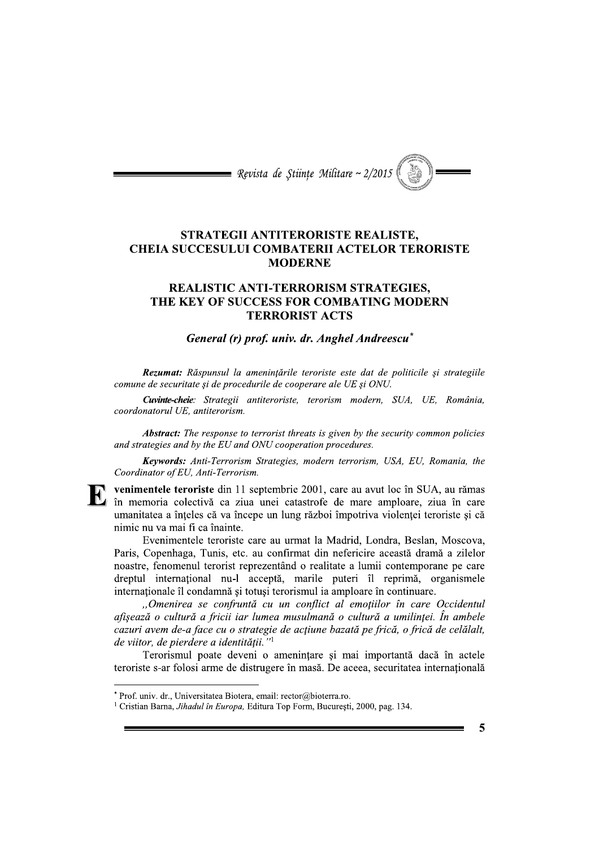

## STRATEGII ANTITERORISTE REALISTE, **CHEIA SUCCESULUI COMBATERII ACTELOR TERORISTE MODERNE**

## **REALISTIC ANTI-TERRORISM STRATEGIES.** THE KEY OF SUCCESS FOR COMBATING MODERN **TERRORIST ACTS**

## General (r) prof. univ. dr. Anghel Andreescu<sup>\*</sup>

Rezumat: Răspunsul la amenințările teroriste este dat de politicile și strategiile comune de securitate și de procedurile de cooperare ale UE și ONU.

Cuvinte-cheie: Strategii antiteroriste, terorism modern, SUA, UE, România, coordonatorul UE, antiterorism.

**Abstract:** The response to terrorist threats is given by the security common policies and strategies and by the EU and ONU cooperation procedures.

Keywords: Anti-Terrorism Strategies, modern terrorism, USA, EU, Romania, the Coordinator of EU, Anti-Terrorism.

venimentele teroriste din 11 septembrie 2001, care au avut loc în SUA, au rămas în memoria colectivă ca ziua unei catastrofe de mare amploare, ziua în care umanitatea a înteles că va începe un lung război împotriva violentei teroriste și că nimic nu va mai fi ca înainte.

Evenimentele teroriste care au urmat la Madrid, Londra, Beslan, Moscova, Paris, Copenhaga, Tunis, etc. au confirmat din nefericire această dramă a zilelor noastre, fenomenul terorist reprezentând o realitate a lumii contemporane pe care dreptul internațional nu-l acceptă, marile puteri îl reprimă, organismele internaționale îl condamnă și totuși terorismul ia amploare în continuare.

"Omenirea se confruntă cu un conflict al emoțiilor în care Occidentul afișează o cultură a fricii iar lumea musulmană o cultură a umilinței. În ambele cazuri avem de-a face cu o strategie de acțiune bazată pe frică, o frică de celălalt, de viitor, de pierdere a identității."<sup>1</sup>

Terorismul poate deveni o amenințare și mai importantă dacă în actele teroriste s-ar folosi arme de distrugere în masă. De aceea, securitatea internatională

5

<sup>\*</sup> Prof. univ. dr., Universitatea Biotera, email: rector@bioterra.ro.

<sup>&</sup>lt;sup>1</sup> Cristian Barna, Jihadul în Europa, Editura Top Form, București, 2000, pag. 134.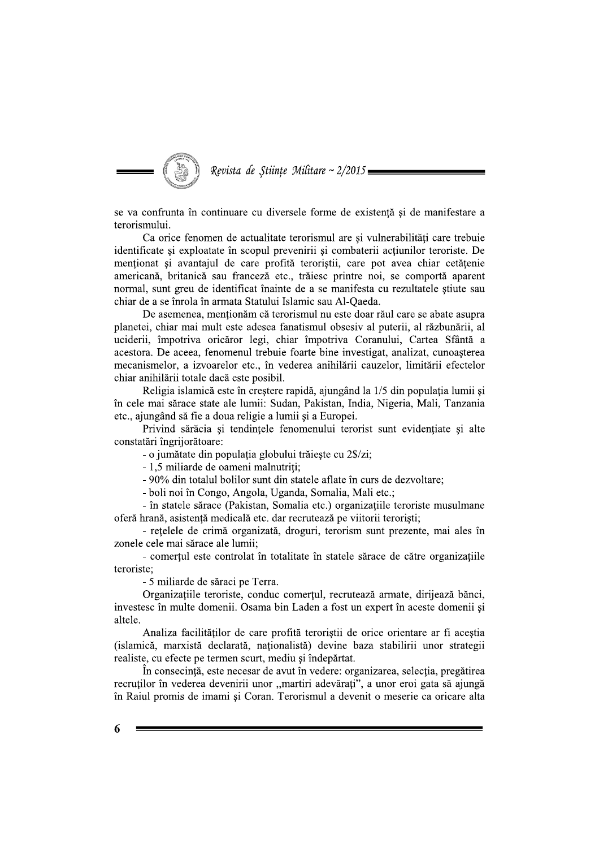

se va confrunta în continuare cu diversele forme de existență și de manifestare a terorismului.

Ca orice fenomen de actualitate terorismul are si vulnerabilităti care trebuie identificate și exploatate în scopul prevenirii și combaterii acțiunilor teroriste. De mentionat si avantajul de care profită teroristii, care pot avea chiar cetătenie americană, britanică sau franceză etc., trăiesc printre noi, se comportă aparent normal, sunt greu de identificat înainte de a se manifesta cu rezultatele știute sau chiar de a se înrola în armata Statului Islamic sau Al-Qaeda.

De asemenea, menționăm că terorismul nu este doar răul care se abate asupra planetei, chiar mai mult este adesea fanatismul obsesiv al puterii, al răzbunării, al uciderii, împotriva oricăror legi, chiar împotriva Coranului, Cartea Sfântă a acestora. De aceea, fenomenul trebuie foarte bine investigat, analizat, cunoașterea mecanismelor, a izvoarelor etc., în vederea anihilării cauzelor, limitării efectelor chiar anihilării totale dacă este posibil.

Religia islamică este în creștere rapidă, ajungând la 1/5 din populația lumii și în cele mai sărace state ale lumii: Sudan, Pakistan, India, Nigeria, Mali, Tanzania etc., ajungând să fie a doua religie a lumii și a Europei.

Privind sărăcia și tendințele fenomenului terorist sunt evidențiate și alte constatări îngriiorătoare:

- o jumătate din populația globului trăiește cu 2\$/zi;

- 1,5 miliarde de oameni malnutriți;

- 90% din totalul bolilor sunt din statele aflate în curs de dezvoltare;

- boli noi în Congo, Angola, Uganda, Somalia, Mali etc.;

- în statele sărace (Pakistan, Somalia etc.) organizațiile teroriste musulmane oferă hrană, asistență medicală etc. dar recrutează pe viitorii teroriști;

- rețelele de crimă organizată, droguri, terorism sunt prezente, mai ales în zonele cele mai sărace ale lumii:

- comerțul este controlat în totalitate în statele sărace de către organizațiile teroriste:

- 5 miliarde de săraci pe Terra.

Organizațiile teroriste, conduc comerțul, recrutează armate, dirijează bănci, investesc în multe domenii. Osama bin Laden a fost un expert în aceste domenii și altele.

Analiza facilităților de care profită teroriștii de orice orientare ar fi aceștia (islamică, marxistă declarată, nationalistă) devine baza stabilirii unor strategii realiste, cu efecte pe termen scurt, mediu si îndepărtat.

În consecință, este necesar de avut în vedere: organizarea, selecția, pregătirea recruților în vederea devenirii unor "martiri adevărați", a unor eroi gata să ajungă în Raiul promis de imami și Coran. Terorismul a devenit o meserie ca oricare alta

6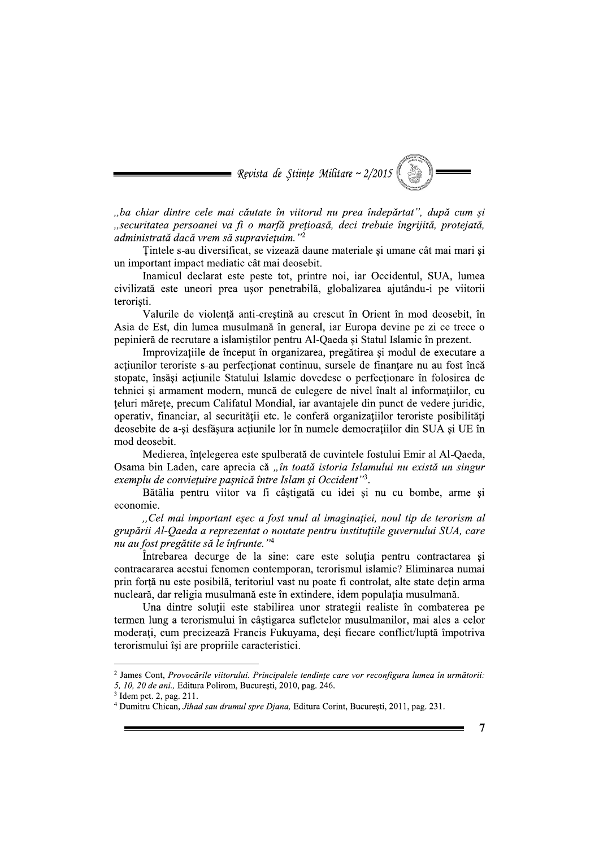

"ba chiar dintre cele mai căutate în viitorul nu prea îndepărtat", după cum și "securitatea persoanei va fi o marfă prețioasă, deci trebuie îngrijită, protejată, administrată dacă vrem să supravietuim."<sup>2</sup>

Tintele s-au diversificat, se vizează daune materiale și umane cât mai mari și un important impact mediatic cât mai deosebit.

Inamicul declarat este peste tot, printre noi, iar Occidentul, SUA, lumea civilizată este uneori prea usor penetrabilă, globalizarea ajutându-i pe viitorii teroristi.

Valurile de violență anti-creștină au crescut în Orient în mod deosebit, în Asia de Est, din lumea musulmană în general, iar Europa devine pe zi ce trece o pepinieră de recrutare a islamiștilor pentru Al-Qaeda și Statul Islamic în prezent.

Improvizațiile de început în organizarea, pregătirea și modul de executare a actiunilor teroriste s-au perfectionat continuu, sursele de finantare nu au fost încă stopate, însăși acțiunile Statului Islamic dovedesc o perfecționare în folosirea de tehnici si armament modern, muncă de culegere de nivel înalt al informatiilor, cu teluri mărețe, precum Califatul Mondial, iar avantajele din punct de vedere juridic, operativ, financiar, al securității etc. le conferă organizațiilor teroriste posibilități deosebite de a-și desfășura acțiunile lor în numele democrațiilor din SUA și UE în mod deosebit.

Medierea, înțelegerea este spulberată de cuvintele fostului Emir al Al-Qaeda, Osama bin Laden, care aprecia că "în toată istoria Islamului nu există un singur exemplu de convietuire pașnică între Islam și Occident"3.

Bătălia pentru viitor va fi câstigată cu idei și nu cu bombe, arme și economie.

"Cel mai important esec a fost unul al imaginației, noul tip de terorism al grupării Al-Qaeda a reprezentat o noutate pentru instituțiile guvernului SUA, care nu au fost pregătite să le înfrunte."<sup>4</sup>

Întrebarea decurge de la sine: care este soluția pentru contractarea și contracararea acestui fenomen contemporan, terorismul islamic? Eliminarea numai prin forță nu este posibilă, teritoriul vast nu poate fi controlat, alte state dețin arma nucleară, dar religia musulmană este în extindere, idem populația musulmană.

Una dintre soluții este stabilirea unor strategii realiste în combaterea pe termen lung a terorismului în câștigarea sufletelor musulmanilor, mai ales a celor moderați, cum precizează Francis Fukuyama, deși fiecare conflict/luptă împotriva terorismului îsi are propriile caracteristici.

<sup>&</sup>lt;sup>2</sup> James Cont, Provocările viitorului. Principalele tendințe care vor reconfigura lumea în următorii: 5, 10, 20 de ani., Editura Polirom, București, 2010, pag. 246.

<sup>&</sup>lt;sup>3</sup> Idem pct. 2, pag. 211.

<sup>&</sup>lt;sup>4</sup> Dumitru Chican, Jihad sau drumul spre Djana, Editura Corint, București, 2011, pag. 231.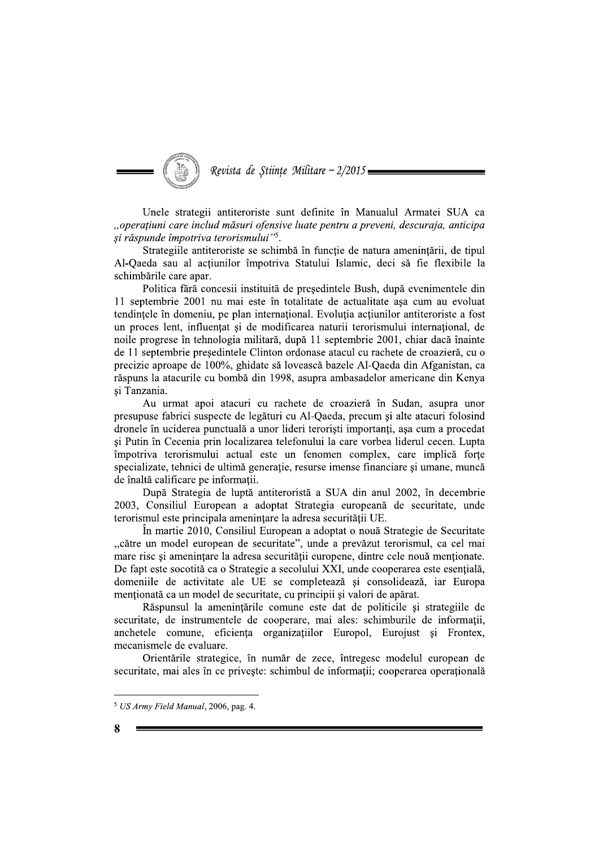Revista de Științe Militare ~ 2/2015

Unele strategii antiteroriste sunt definite în Manualul Armatei SUA ca "operațiuni care includ măsuri ofensive luate pentru a preveni, descuraja, anticipa si răspunde împotriva terorismului"<sup>5</sup>.

Strategiile antiteroriste se schimbă în funcție de natura amenințării, de tipul Al-Qaeda sau al actiunilor împotriva Statului Islamic, deci să fie flexibile la schimbările care apar.

Politica fără concesii instituită de președintele Bush, după evenimentele din 11 septembrie 2001 nu mai este în totalitate de actualitate asa cum au evoluat tendințele în domeniu, pe plan internațional. Evoluția acțiunilor antiteroriste a fost un proces lent, influentat și de modificarea naturii terorismului internațional, de noile progrese în tehnologia militară, după 11 septembrie 2001, chiar dacă înainte de 11 septembrie președintele Clinton ordonase atacul cu rachete de croazieră, cu o precizie aproape de 100%, ghidate să lovească bazele Al-Qaeda din Afganistan, ca răspuns la atacurile cu bombă din 1998, asupra ambasadelor americane din Kenya si Tanzania.

Au urmat apoi atacuri cu rachete de croazieră în Sudan, asupra unor presupuse fabrici suspecte de legături cu Al-Qaeda, precum și alte atacuri folosind dronele în uciderea punctuală a unor lideri teroriști importanți, așa cum a procedat și Putin în Cecenia prin localizarea telefonului la care vorbea liderul cecen. Lupta împotriva terorismului actual este un fenomen complex, care implică forțe specializate, tehnici de ultimă generație, resurse imense financiare și umane, muncă de înaltă calificare pe informații.

După Strategia de luptă antiteroristă a SUA din anul 2002, în decembrie 2003, Consiliul European a adoptat Strategia europeană de securitate, unde terorismul este principala amenințare la adresa securității UE.

În martie 2010, Consiliul European a adoptat o nouă Strategie de Securitate "către un model european de securitate", unde a prevăzut terorismul, ca cel mai mare risc și amenințare la adresa securității europene, dintre cele nouă menționate. De fapt este socotită ca o Strategie a secolului XXI, unde cooperarea este esențială, domeniile de activitate ale UE se completează și consolidează, iar Europa mentionată ca un model de securitate, cu principii și valori de apărat.

Răspunsul la amenințările comune este dat de politicile și strategiile de securitate, de instrumentele de cooperare, mai ales: schimburile de informații, anchetele comune, eficienta organizațiilor Europol, Eurojust și Frontex, mecanismele de evaluare.

Orientările strategice, în număr de zece, întregesc modelul european de securitate, mai ales în ce priveste: schimbul de informatii; cooperarea operatională

 $5 \text{ US} \text{ Army Field Manual}, 2006, \text{pag. } 4.$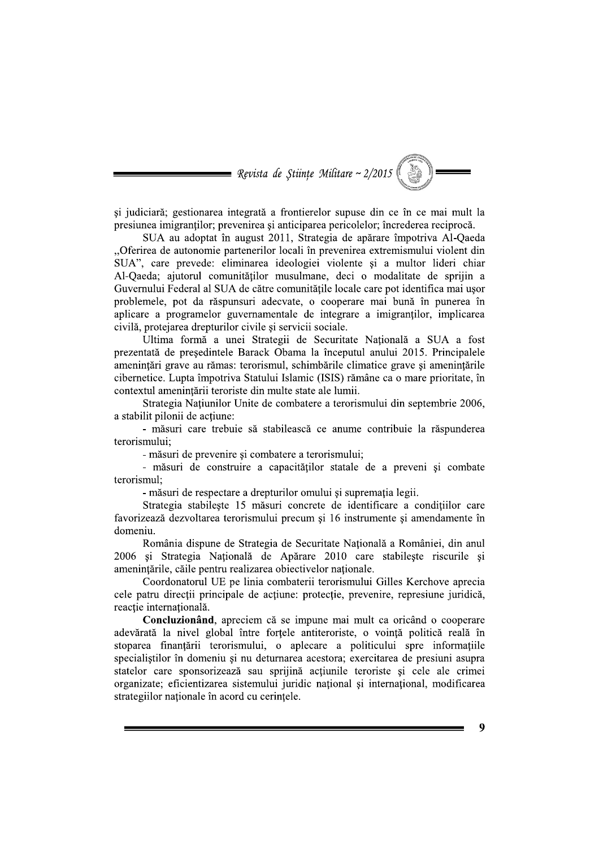Revista de Științe Militare ~ 2/2015

și judiciară; gestionarea integrată a frontierelor supuse din ce în ce mai mult la presiunea imigranților; prevenirea și anticiparea pericolelor; încrederea reciprocă.

SUA au adoptat în august 2011, Strategia de apărare împotriva Al-Oaeda "Oferirea de autonomie partenerilor locali în prevenirea extremismului violent din SUA", care prevede: eliminarea ideologiei violente si a multor lideri chiar Al-Qaeda; ajutorul comunităților musulmane, deci o modalitate de sprijin a Guvernului Federal al SUA de către comunitățile locale care pot identifica mai ușor problemele, pot da răspunsuri adecvate, o cooperare mai bună în punerea în aplicare a programelor guvernamentale de integrare a imigrantilor, implicarea civilă, protejarea drepturilor civile și servicii sociale.

Ultima formă a unei Strategii de Securitate Națională a SUA a fost prezentată de președintele Barack Obama la începutul anului 2015. Principalele amenintări grave au rămas: terorismul, schimbările climatice grave si amenintările cibernetice. Lupta împotriva Statului Islamic (ISIS) rămâne ca o mare prioritate, în contextul amenintării teroriste din multe state ale lumii.

Strategia Națiunilor Unite de combatere a terorismului din septembrie 2006, a stabilit pilonii de actiune:

- măsuri care trebuie să stabilească ce anume contribuie la răspunderea terorismului:

- măsuri de prevenire și combatere a terorismului;

- măsuri de construire a capacităților statale de a preveni și combate terorismul:

- măsuri de respectare a drepturilor omului si supremația legii.

Strategia stabileste 15 măsuri concrete de identificare a condițiilor care favorizează dezvoltarea terorismului precum și 16 instrumente și amendamente în domeniu.

România dispune de Strategia de Securitate Națională a României, din anul 2006 și Strategia Națională de Apărare 2010 care stabilește riscurile și amenințările, căile pentru realizarea obiectivelor naționale.

Coordonatorul UE pe linia combaterii terorismului Gilles Kerchove aprecia cele patru direcții principale de acțiune: protecție, prevenire, represiune juridică, reacție internațională.

Concluzionând, apreciem că se impune mai mult ca oricând o cooperare adevărată la nivel global între forțele antiteroriste, o voință politică reală în stoparea finanțării terorismului, o aplecare a politicului spre informațiile specialistilor în domeniu si nu deturnarea acestora; exercitarea de presiuni asupra statelor care sponsorizează sau sprijină actiunile teroriste si cele ale crimei organizate; eficientizarea sistemului juridic national si international, modificarea strategiilor naționale în acord cu cerințele.

 $\boldsymbol{Q}$